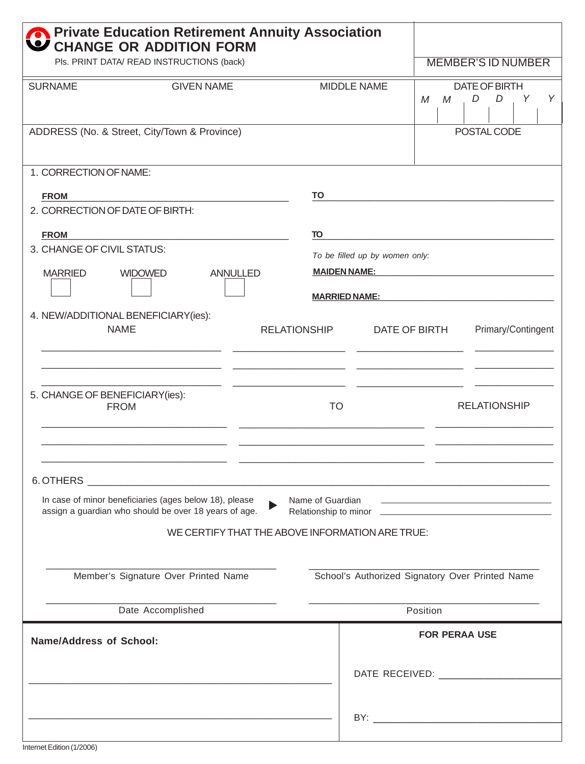| <b>On Private Education Retirement Annuity Association</b><br>CHANGE OR ADDITION FORM |                                                                                                                 |                                                                                           |                                                                                                                                                                                                                                |  |
|---------------------------------------------------------------------------------------|-----------------------------------------------------------------------------------------------------------------|-------------------------------------------------------------------------------------------|--------------------------------------------------------------------------------------------------------------------------------------------------------------------------------------------------------------------------------|--|
| Pls. PRINT DATA/ READ INSTRUCTIONS (back)                                             |                                                                                                                 |                                                                                           | <b>MEMBER'S ID NUMBER</b>                                                                                                                                                                                                      |  |
| <b>SURNAME</b>                                                                        | <b>GIVEN NAME</b>                                                                                               | MIDDLE NAME                                                                               | DATE OF BIRTH<br>$\mathcal M$<br>D<br>D<br>Y<br>Υ<br>M                                                                                                                                                                         |  |
| ADDRESS (No. & Street, City/Town & Province)                                          |                                                                                                                 |                                                                                           | POSTAL CODE                                                                                                                                                                                                                    |  |
| 1. CORRECTION OF NAME:                                                                |                                                                                                                 |                                                                                           |                                                                                                                                                                                                                                |  |
| <b>FROM</b>                                                                           |                                                                                                                 |                                                                                           |                                                                                                                                                                                                                                |  |
| 2. CORRECTION OF DATE OF BIRTH:                                                       |                                                                                                                 |                                                                                           |                                                                                                                                                                                                                                |  |
| <b>FROM</b>                                                                           |                                                                                                                 | TO                                                                                        | the control of the control of the control of the control of the control of the control of                                                                                                                                      |  |
| 3. CHANGE OF CIVIL STATUS:                                                            |                                                                                                                 |                                                                                           | To be filled up by women only:                                                                                                                                                                                                 |  |
| <b>MARRIED</b><br><b>WIDOWED</b><br><b>ANNULLED</b>                                   |                                                                                                                 |                                                                                           | MAIDEN NAME: WARD AND A STREET AND A STREET AND A STREET AND A STREET AND A STREET AND A STREET AND A STREET AND A STREET AND A STREET AND A STREET AND A STREET AND A STREET AND A STREET AND A STREET AND A STREET AND A STR |  |
|                                                                                       |                                                                                                                 |                                                                                           |                                                                                                                                                                                                                                |  |
|                                                                                       |                                                                                                                 | <b>MARRIED NAME:</b>                                                                      |                                                                                                                                                                                                                                |  |
| 4. NEW/ADDITIONAL BENEFICIARY(ies):<br><b>NAME</b>                                    |                                                                                                                 | <b>RELATIONSHIP</b>                                                                       | Primary/Contingent<br>DATE OF BIRTH                                                                                                                                                                                            |  |
| 5. CHANGE OF BENEFICIARY(ies):<br><b>FROM</b>                                         |                                                                                                                 | <b>TO</b>                                                                                 | <b>RELATIONSHIP</b>                                                                                                                                                                                                            |  |
|                                                                                       |                                                                                                                 | the control of the control of the control of the control of the control of the control of |                                                                                                                                                                                                                                |  |
|                                                                                       |                                                                                                                 |                                                                                           |                                                                                                                                                                                                                                |  |
|                                                                                       | In case of minor beneficiaries (ages below 18), please<br>assign a guardian who should be over 18 years of age. | Name of Guardian                                                                          | the control of the control of the control of the control of                                                                                                                                                                    |  |
|                                                                                       |                                                                                                                 | WE CERTIFY THAT THE ABOVE INFORMATION ARE TRUE:                                           |                                                                                                                                                                                                                                |  |
| Member's Signature Over Printed Name                                                  |                                                                                                                 |                                                                                           | School's Authorized Signatory Over Printed Name                                                                                                                                                                                |  |
| Date Accomplished                                                                     |                                                                                                                 |                                                                                           | Position                                                                                                                                                                                                                       |  |
| <b>Name/Address of School:</b>                                                        |                                                                                                                 |                                                                                           | <b>FOR PERAA USE</b>                                                                                                                                                                                                           |  |
|                                                                                       |                                                                                                                 |                                                                                           | DATE RECEIVED:                                                                                                                                                                                                                 |  |
|                                                                                       |                                                                                                                 |                                                                                           | BY: the contract of the contract of the contract of the contract of the contract of the contract of the contract of the contract of the contract of the contract of the contract of the contract of the contract of the contra |  |